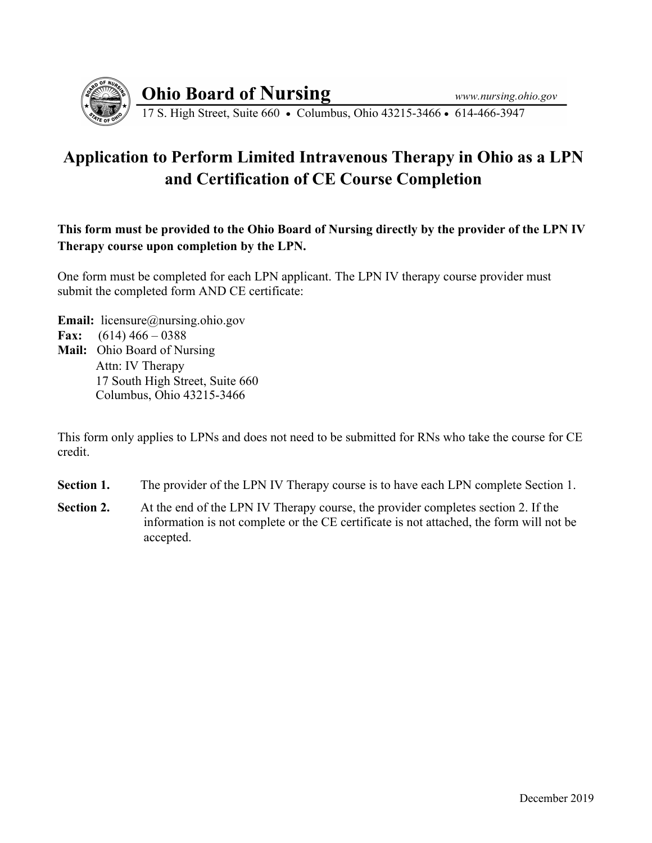

**Ohio Board of Nursing** 

17 S. High Street, Suite 660 • Columbus, Ohio 43215-3466 • 614-466-3947

## **Application to Perform Limited Intravenous Therapy in Ohio as a LPN and Certification of CE Course Completion**

**This form must be provided to the Ohio Board of Nursing directly by the provider of the LPN IV Therapy course upon completion by the LPN.** 

One form must be completed for each LPN applicant. The LPN IV therapy course provider must submit the completed form AND CE certificate:

**Email:** licensure@nursing.ohio.gov **Fax:** (614) 466 – 0388 **Mail:** Ohio Board of Nursing Attn: IV Therapy 17 South High Street, Suite 660 Columbus, Ohio 43215-3466

This form only applies to LPNs and does not need to be submitted for RNs who take the course for CE credit.

- **Section 1.** The provider of the LPN IV Therapy course is to have each LPN complete Section 1.
- **Section 2.** At the end of the LPN IV Therapy course, the provider completes section 2. If the information is not complete or the CE certificate is not attached, the form will not be accepted.